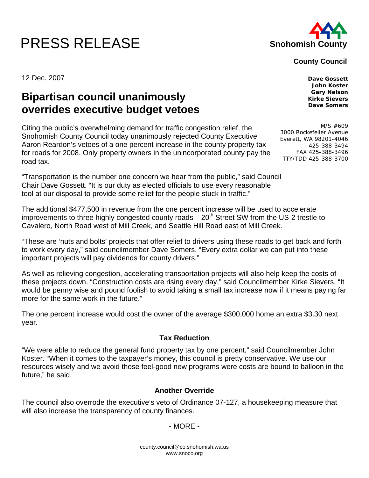# **PRESS RELEASE Shohomish County**



#### **County Council**

12 Dec. 2007 **Dave Gossett** 

## **Bipartisan council unanimously overrides executive budget vetoes**

Citing the public's overwhelming demand for traffic congestion relief, the Snohomish County Council today unanimously rejected County Executive Aaron Reardon's vetoes of a one percent increase in the county property tax for roads for 2008. Only property owners in the unincorporated county pay the road tax.

"Transportation is the number one concern we hear from the public," said Council Chair Dave Gossett. "It is our duty as elected officials to use every reasonable tool at our disposal to provide some relief for the people stuck in traffic."

The additional \$477,500 in revenue from the one percent increase will be used to accelerate improvements to three highly congested county roads  $-20<sup>th</sup>$  Street SW from the US-2 trestle to Cavalero, North Road west of Mill Creek, and Seattle Hill Road east of Mill Creek.

"These are 'nuts and bolts' projects that offer relief to drivers using these roads to get back and forth to work every day," said councilmember Dave Somers. "Every extra dollar we can put into these important projects will pay dividends for county drivers."

As well as relieving congestion, accelerating transportation projects will also help keep the costs of these projects down. "Construction costs are rising every day," said Councilmember Kirke Sievers. "It would be penny wise and pound foolish to avoid taking a small tax increase now if it means paying far more for the same work in the future."

The one percent increase would cost the owner of the average \$300,000 home an extra \$3.30 next year.

### **Tax Reduction**

"We were able to reduce the general fund property tax by one percent," said Councilmember John Koster. "When it comes to the taxpayer's money, this council is pretty conservative. We use our resources wisely and we avoid those feel-good new programs were costs are bound to balloon in the future," he said.

### **Another Override**

The council also overrode the executive's veto of Ordinance 07-127, a housekeeping measure that will also increase the transparency of county finances.

#### - MORE -

county.council@co.snohomish.wa.us www.snoco.org

**John Koster Gary Nelson Kirke Sievers Dave Somers** 

M/S #609 3000 Rockefeller Avenue Everett, WA 98201-4046 425-388-3494 FAX 425-388-3496 TTY/TDD 425-388-3700